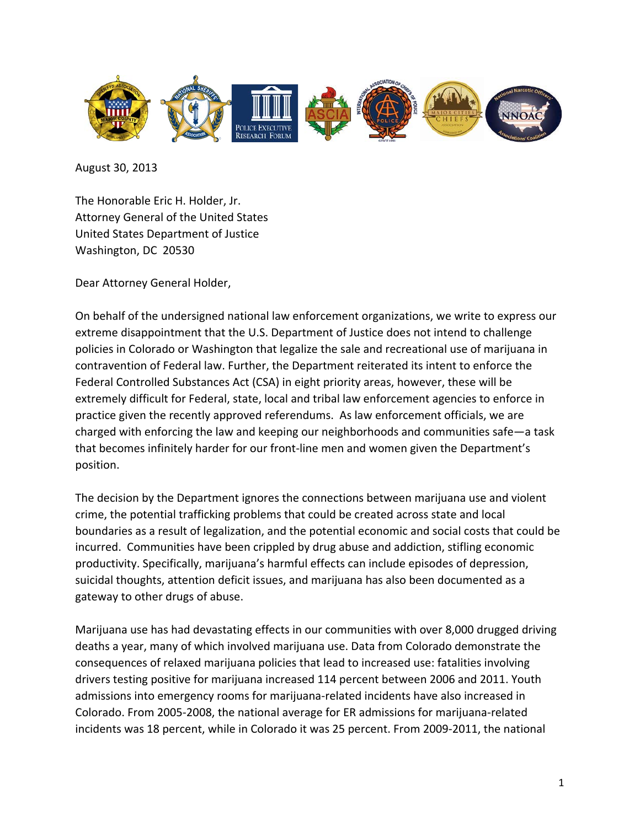

August 30, 2013

The Honorable Eric H. Holder, Jr. Attorney General of the United States United States Department of Justice Washington, DC 20530

Dear Attorney General Holder,

On behalf of the undersigned national law enforcement organizations, we write to express our extreme disappointment that the U.S. Department of Justice does not intend to challenge policies in Colorado or Washington that legalize the sale and recreational use of marijuana in contravention of Federal law. Further, the Department reiterated its intent to enforce the Federal Controlled Substances Act (CSA) in eight priority areas, however, these will be extremely difficult for Federal, state, local and tribal law enforcement agencies to enforce in practice given the recently approved referendums. As law enforcement officials, we are charged with enforcing the law and keeping our neighborhoods and communities safe—a task that becomes infinitely harder for our front-line men and women given the Department's position.

The decision by the Department ignores the connections between marijuana use and violent crime, the potential trafficking problems that could be created across state and local boundaries as a result of legalization, and the potential economic and social costs that could be incurred. Communities have been crippled by drug abuse and addiction, stifling economic productivity. Specifically, marijuana's harmful effects can include episodes of depression, suicidal thoughts, attention deficit issues, and marijuana has also been documented as a gateway to other drugs of abuse.

Marijuana use has had devastating effects in our communities with over 8,000 drugged driving deaths a year, many of which involved marijuana use. Data from Colorado demonstrate the consequences of relaxed marijuana policies that lead to increased use: fatalities involving drivers testing positive for marijuana increased 114 percent between 2006 and 2011. Youth admissions into emergency rooms for marijuana-related incidents have also increased in Colorado. From 2005-2008, the national average for ER admissions for marijuana-related incidents was 18 percent, while in Colorado it was 25 percent. From 2009-2011, the national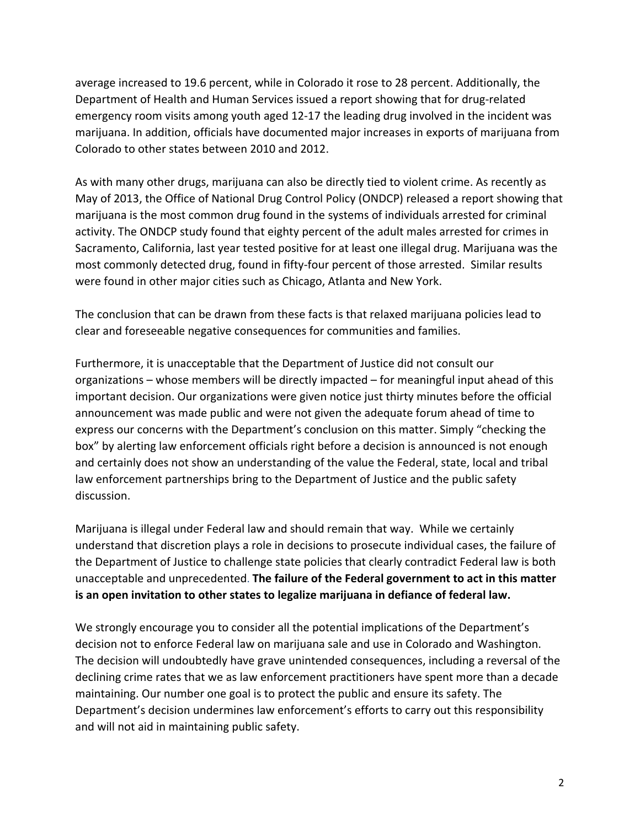average increased to 19.6 percent, while in Colorado it rose to 28 percent. Additionally, the Department of Health and Human Services issued a report showing that for drug-related emergency room visits among youth aged 12-17 the leading drug involved in the incident was marijuana. In addition, officials have documented major increases in exports of marijuana from Colorado to other states between 2010 and 2012.

As with many other drugs, marijuana can also be directly tied to violent crime. As recently as May of 2013, the Office of National Drug Control Policy (ONDCP) released a report showing that marijuana is the most common drug found in the systems of individuals arrested for criminal activity. The ONDCP study found that eighty percent of the adult males arrested for crimes in Sacramento, California, last year tested positive for at least one illegal drug. Marijuana was the most commonly detected drug, found in fifty-four percent of those arrested. Similar results were found in other major cities such as Chicago, Atlanta and New York.

The conclusion that can be drawn from these facts is that relaxed marijuana policies lead to clear and foreseeable negative consequences for communities and families.

Furthermore, it is unacceptable that the Department of Justice did not consult our organizations – whose members will be directly impacted – for meaningful input ahead of this important decision. Our organizations were given notice just thirty minutes before the official announcement was made public and were not given the adequate forum ahead of time to express our concerns with the Department's conclusion on this matter. Simply "checking the box" by alerting law enforcement officials right before a decision is announced is not enough and certainly does not show an understanding of the value the Federal, state, local and tribal law enforcement partnerships bring to the Department of Justice and the public safety discussion.

Marijuana is illegal under Federal law and should remain that way. While we certainly understand that discretion plays a role in decisions to prosecute individual cases, the failure of the Department of Justice to challenge state policies that clearly contradict Federal law is both unacceptable and unprecedented. **The failure of the Federal government to act in this matter is an open invitation to other states to legalize marijuana in defiance of federal law.** 

We strongly encourage you to consider all the potential implications of the Department's decision not to enforce Federal law on marijuana sale and use in Colorado and Washington. The decision will undoubtedly have grave unintended consequences, including a reversal of the declining crime rates that we as law enforcement practitioners have spent more than a decade maintaining. Our number one goal is to protect the public and ensure its safety. The Department's decision undermines law enforcement's efforts to carry out this responsibility and will not aid in maintaining public safety.